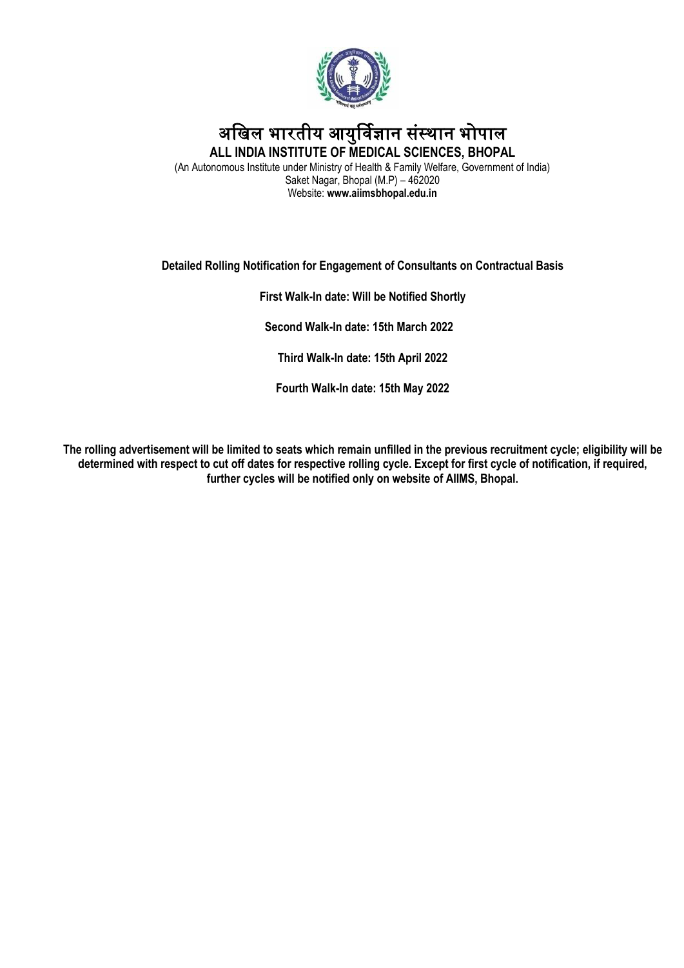

# अखिल भारतीय आयुर्विज्ञान संस्थान भोपाल **ALL INDIA INSTITUTE OF MEDICAL SCIENCES, BHOPAL**

(An Autonomous Institute under Ministry of Health & Family Welfare, Government of India) Saket Nagar, Bhopal (M.P) – 462020 Website: **www.aiimsbhopal.edu.in**

## **Detailed Rolling Notification for Engagement of Consultants on Contractual Basis**

**First Walk-In date: Will be Notified Shortly**

 **Second Walk-In date: 15th March 2022**

**Third Walk-In date: 15th April 2022**

**Fourth Walk-In date: 15th May 2022**

**The rolling advertisement will be limited to seats which remain unfilled in the previous recruitment cycle; eligibility will be determined with respect to cut off dates for respective rolling cycle. Except for first cycle of notification, if required, further cycles will be notified only on website of AIIMS, Bhopal.**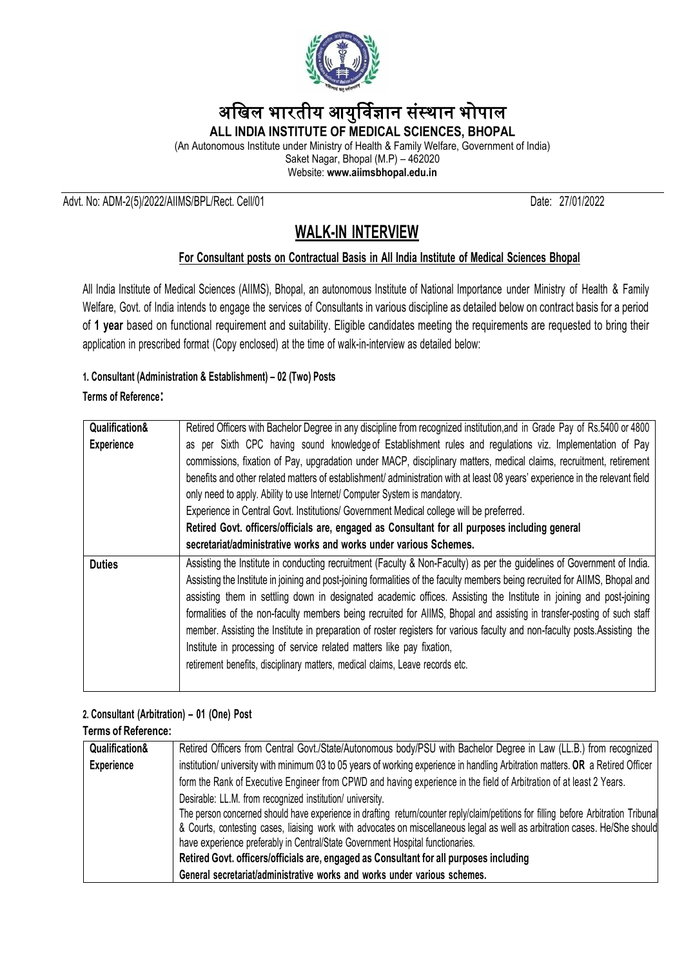

# अखिल भारतीय आयुर्विज्ञान संस्थान भोपाल

**ALL INDIA INSTITUTE OF MEDICAL SCIENCES, BHOPAL**

(An Autonomous Institute under Ministry of Health & Family Welfare, Government of India) Saket Nagar, Bhopal (M.P) – 462020

Website: **www.aiimsbhopal.edu.in**

#### Advt. No: ADM-2(5)/2022/AIIMS/BPL/Rect. Cell/01 Date: 27/01/2022

# **WALK-IN INTERVIEW**

## **For Consultant posts on Contractual Basis in All India Institute of Medical Sciences Bhopal**

All India Institute of Medical Sciences (AIIMS), Bhopal, an autonomous Institute of National Importance under Ministry of Health & Family Welfare, Govt. of India intends to engage the services of Consultants in various discipline as detailed below on contract basis for a period of **1 year** based on functional requirement and suitability. Eligible candidates meeting the requirements are requested to bring their application in prescribed format (Copy enclosed) at the time of walk-in-interview as detailed below:

#### **1. Consultant (Administration & Establishment) – 02 (Two) Posts**

#### **Terms of Reference:**

| Qualification&    | Retired Officers with Bachelor Degree in any discipline from recognized institution, and in Grade Pay of Rs.5400 or 4800     |  |  |  |  |
|-------------------|------------------------------------------------------------------------------------------------------------------------------|--|--|--|--|
| <b>Experience</b> | as per Sixth CPC having sound knowledge of Establishment rules and regulations viz. Implementation of Pay                    |  |  |  |  |
|                   | commissions, fixation of Pay, upgradation under MACP, disciplinary matters, medical claims, recruitment, retirement          |  |  |  |  |
|                   | benefits and other related matters of establishment/ administration with at least 08 years' experience in the relevant field |  |  |  |  |
|                   | only need to apply. Ability to use Internet/ Computer System is mandatory.                                                   |  |  |  |  |
|                   | Experience in Central Govt. Institutions/ Government Medical college will be preferred.                                      |  |  |  |  |
|                   | Retired Govt. officers/officials are, engaged as Consultant for all purposes including general                               |  |  |  |  |
|                   | secretariat/administrative works and works under various Schemes.                                                            |  |  |  |  |
| <b>Duties</b>     | Assisting the Institute in conducting recruitment (Faculty & Non-Faculty) as per the guidelines of Government of India.      |  |  |  |  |
|                   | Assisting the Institute in joining and post-joining formalities of the faculty members being recruited for AIIMS, Bhopal and |  |  |  |  |
|                   | assisting them in settling down in designated academic offices. Assisting the Institute in joining and post-joining          |  |  |  |  |
|                   | formalities of the non-faculty members being recruited for AIIMS, Bhopal and assisting in transfer-posting of such staff     |  |  |  |  |
|                   | member. Assisting the Institute in preparation of roster registers for various faculty and non-faculty posts. Assisting the  |  |  |  |  |
|                   | Institute in processing of service related matters like pay fixation,                                                        |  |  |  |  |
|                   | retirement benefits, disciplinary matters, medical claims, Leave records etc.                                                |  |  |  |  |
|                   |                                                                                                                              |  |  |  |  |

# **2. Consultant (Arbitration) – 01 (One) Post**

#### **Terms of Reference:**

| Qualification&                                                                                                                                                                                    | Retired Officers from Central Govt./State/Autonomous body/PSU with Bachelor Degree in Law (LL.B.) from recognized    |  |  |
|---------------------------------------------------------------------------------------------------------------------------------------------------------------------------------------------------|----------------------------------------------------------------------------------------------------------------------|--|--|
| institution/ university with minimum 03 to 05 years of working experience in handling Arbitration matters. OR a Retired Officer<br>Experience                                                     |                                                                                                                      |  |  |
|                                                                                                                                                                                                   | form the Rank of Executive Engineer from CPWD and having experience in the field of Arbitration of at least 2 Years. |  |  |
| Desirable: LL.M. from recognized institution/ university.<br>The person concerned should have experience in drafting return/counter reply/claim/petitions for filling before Arbitration Tribunal |                                                                                                                      |  |  |
|                                                                                                                                                                                                   |                                                                                                                      |  |  |
| have experience preferably in Central/State Government Hospital functionaries.<br>Retired Govt. officers/officials are, engaged as Consultant for all purposes including                          |                                                                                                                      |  |  |
|                                                                                                                                                                                                   |                                                                                                                      |  |  |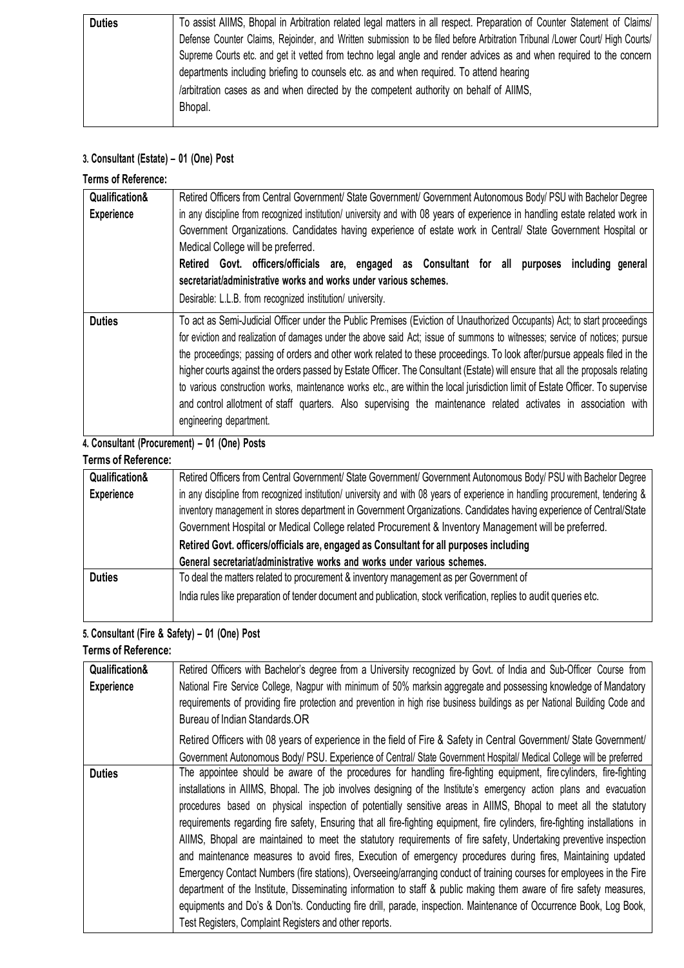| <b>Duties</b> | To assist AIIMS, Bhopal in Arbitration related legal matters in all respect. Preparation of Counter Statement of Claims/<br>Defense Counter Claims, Rejoinder, and Written submission to be filed before Arbitration Tribunal /Lower Court/ High Courts/<br>Supreme Courts etc. and get it vetted from techno legal angle and render advices as and when required to the concern<br>departments including briefing to counsels etc. as and when required. To attend hearing<br>/arbitration cases as and when directed by the competent authority on behalf of AlIMS, |
|---------------|-----------------------------------------------------------------------------------------------------------------------------------------------------------------------------------------------------------------------------------------------------------------------------------------------------------------------------------------------------------------------------------------------------------------------------------------------------------------------------------------------------------------------------------------------------------------------|
|               | Bhopal.                                                                                                                                                                                                                                                                                                                                                                                                                                                                                                                                                               |

# **3. Consultant (Estate) – 01 (One) Post**

| <b>Terms of Reference:</b> |                                                                                                                                                                                                                                                                                                                                                                                                                                                                                                                                                                                                                                                                                                                                                                                                        |  |  |  |  |  |  |
|----------------------------|--------------------------------------------------------------------------------------------------------------------------------------------------------------------------------------------------------------------------------------------------------------------------------------------------------------------------------------------------------------------------------------------------------------------------------------------------------------------------------------------------------------------------------------------------------------------------------------------------------------------------------------------------------------------------------------------------------------------------------------------------------------------------------------------------------|--|--|--|--|--|--|
| Qualification&             | Retired Officers from Central Government/ State Government/ Government Autonomous Body/ PSU with Bachelor Degree                                                                                                                                                                                                                                                                                                                                                                                                                                                                                                                                                                                                                                                                                       |  |  |  |  |  |  |
| <b>Experience</b>          | in any discipline from recognized institution/ university and with 08 years of experience in handling estate related work in<br>Government Organizations. Candidates having experience of estate work in Central/ State Government Hospital or<br>Medical College will be preferred.<br>Retired Govt. officers/officials are, engaged as Consultant for all<br>purposes<br>including general<br>secretariat/administrative works and works under various schemes.                                                                                                                                                                                                                                                                                                                                      |  |  |  |  |  |  |
|                            | Desirable: L.L.B. from recognized institution/ university.                                                                                                                                                                                                                                                                                                                                                                                                                                                                                                                                                                                                                                                                                                                                             |  |  |  |  |  |  |
| <b>Duties</b>              | To act as Semi-Judicial Officer under the Public Premises (Eviction of Unauthorized Occupants) Act; to start proceedings<br>for eviction and realization of damages under the above said Act; issue of summons to witnesses; service of notices; pursue<br>the proceedings; passing of orders and other work related to these proceedings. To look after/pursue appeals filed in the<br>higher courts against the orders passed by Estate Officer. The Consultant (Estate) will ensure that all the proposals relating<br>to various construction works, maintenance works etc., are within the local jurisdiction limit of Estate Officer. To supervise<br>and control allotment of staff quarters. Also supervising the maintenance related activates in association with<br>engineering department. |  |  |  |  |  |  |

# **4. Consultant (Procurement) – 01 (One) Posts**

# **Terms of Reference:**

| Qualification&                                                                                                       | Retired Officers from Central Government/ State Government/ Government Autonomous Body/ PSU with Bachelor Degree               |  |  |
|----------------------------------------------------------------------------------------------------------------------|--------------------------------------------------------------------------------------------------------------------------------|--|--|
| <b>Experience</b>                                                                                                    | in any discipline from recognized institution/ university and with 08 years of experience in handling procurement, tendering & |  |  |
| inventory management in stores department in Government Organizations. Candidates having experience of Central/State |                                                                                                                                |  |  |
|                                                                                                                      | Government Hospital or Medical College related Procurement & Inventory Management will be preferred.                           |  |  |
|                                                                                                                      | Retired Govt. officers/officials are, engaged as Consultant for all purposes including                                         |  |  |
|                                                                                                                      | General secretariat/administrative works and works under various schemes.                                                      |  |  |
| <b>Duties</b>                                                                                                        | To deal the matters related to procurement & inventory management as per Government of                                         |  |  |
|                                                                                                                      | India rules like preparation of tender document and publication, stock verification, replies to audit queries etc.             |  |  |
|                                                                                                                      |                                                                                                                                |  |  |

# **5. Consultant (Fire & Safety) – 01 (One) Post**

## **Terms of Reference:**

| Qualification&    | Retired Officers with Bachelor's degree from a University recognized by Govt. of India and Sub-Officer Course from            |  |  |  |  |  |
|-------------------|-------------------------------------------------------------------------------------------------------------------------------|--|--|--|--|--|
| <b>Experience</b> | National Fire Service College, Nagpur with minimum of 50% marksin aggregate and possessing knowledge of Mandatory             |  |  |  |  |  |
|                   | requirements of providing fire protection and prevention in high rise business buildings as per National Building Code and    |  |  |  |  |  |
|                   | Bureau of Indian Standards.OR                                                                                                 |  |  |  |  |  |
|                   | Retired Officers with 08 years of experience in the field of Fire & Safety in Central Government/ State Government/           |  |  |  |  |  |
|                   | Government Autonomous Body/ PSU. Experience of Central/ State Government Hospital/ Medical College will be preferred          |  |  |  |  |  |
| <b>Duties</b>     | The appointee should be aware of the procedures for handling fire-fighting equipment, fire cylinders, fire-fighting           |  |  |  |  |  |
|                   | installations in AIIMS, Bhopal. The job involves designing of the Institute's emergency action plans and evacuation           |  |  |  |  |  |
|                   | procedures based on physical inspection of potentially sensitive areas in AIIMS, Bhopal to meet all the statutory             |  |  |  |  |  |
|                   | requirements regarding fire safety, Ensuring that all fire-fighting equipment, fire cylinders, fire-fighting installations in |  |  |  |  |  |
|                   | AlIMS, Bhopal are maintained to meet the statutory requirements of fire safety, Undertaking preventive inspection             |  |  |  |  |  |
|                   | and maintenance measures to avoid fires, Execution of emergency procedures during fires, Maintaining updated                  |  |  |  |  |  |
|                   | Emergency Contact Numbers (fire stations), Overseeing/arranging conduct of training courses for employees in the Fire         |  |  |  |  |  |
|                   | department of the Institute, Disseminating information to staff & public making them aware of fire safety measures,           |  |  |  |  |  |
|                   | equipments and Do's & Don'ts. Conducting fire drill, parade, inspection. Maintenance of Occurrence Book, Log Book,            |  |  |  |  |  |
|                   | Test Registers, Complaint Registers and other reports.                                                                        |  |  |  |  |  |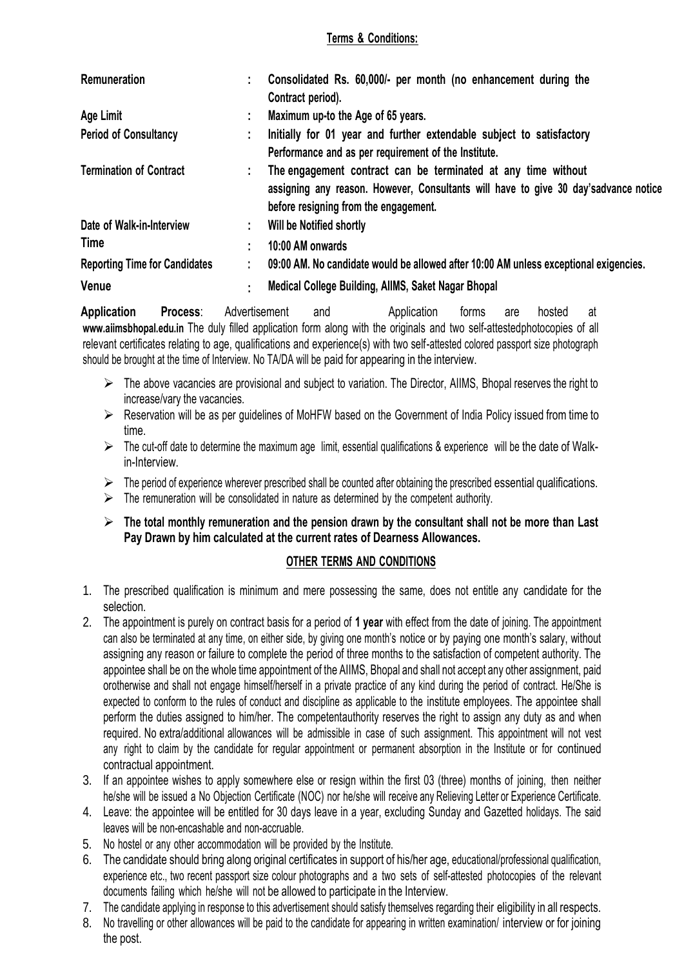#### **Terms & Conditions:**

| Remuneration                         |    | Consolidated Rs. 60,000/- per month (no enhancement during the                                                                                                                                 |
|--------------------------------------|----|------------------------------------------------------------------------------------------------------------------------------------------------------------------------------------------------|
|                                      |    | Contract period).                                                                                                                                                                              |
| Age Limit                            |    | Maximum up-to the Age of 65 years.                                                                                                                                                             |
| <b>Period of Consultancy</b>         |    | Initially for 01 year and further extendable subject to satisfactory                                                                                                                           |
|                                      |    | Performance and as per requirement of the Institute.                                                                                                                                           |
| <b>Termination of Contract</b>       |    | The engagement contract can be terminated at any time without<br>assigning any reason. However, Consultants will have to give 30 day's advance notice<br>before resigning from the engagement. |
| Date of Walk-in-Interview            | t. | Will be Notified shortly                                                                                                                                                                       |
| <b>Time</b>                          |    | 10:00 AM onwards                                                                                                                                                                               |
| <b>Reporting Time for Candidates</b> |    | 09:00 AM. No candidate would be allowed after 10:00 AM unless exceptional exigencies.                                                                                                          |
| Venue                                |    | Medical College Building, AllMS, Saket Nagar Bhopal                                                                                                                                            |

**Application Process**: Advertisement and **Application** forms are hosted at **[www.aiimsbhopal.edu.in](http://www.aiimsbhopal.edu.in/)** The duly filled application form along with the originals and two self-attestedphotocopies of all relevant certificates relating to age, qualifications and experience(s) with two self-attested colored passport size photograph should be brought at the time of Interview. No TA/DA will be paid for appearing in the interview.

- $\triangleright$  The above vacancies are provisional and subject to variation. The Director, AIIMS, Bhopal reserves the right to increase/vary the vacancies.
- ► Reservation will be as per quidelines of MoHFW based on the Government of India Policy issued from time to time.
- $\triangleright$  The cut-off date to determine the maximum age limit, essential qualifications & experience will be the date of Walkin-Interview.
- $\triangleright$  The period of experience wherever prescribed shall be counted after obtaining the prescribed essential qualifications.
- $\triangleright$  The remuneration will be consolidated in nature as determined by the competent authority.

## **The total monthly remuneration and the pension drawn by the consultant shall not be more than Last Pay Drawn by him calculated at the current rates of Dearness Allowances.**

#### **OTHER TERMS AND CONDITIONS**

- 1. The prescribed qualification is minimum and mere possessing the same, does not entitle any candidate for the selection.
- 2. The appointment is purely on contract basis for a period of **1 year** with effect from the date of joining. The appointment can also be terminated at any time, on either side, by giving one month's notice or by paying one month's salary, without assigning any reason or failure to complete the period of three months to the satisfaction of competent authority. The appointee shall be on the whole time appointment of the AIIMS, Bhopal and shall not accept any other assignment, paid orotherwise and shall not engage himself/herself in a private practice of any kind during the period of contract. He/She is expected to conform to the rules of conduct and discipline as applicable to the institute employees. The appointee shall perform the duties assigned to him/her. The competentauthority reserves the right to assign any duty as and when required. No extra/additional allowances will be admissible in case of such assignment. This appointment will not vest any right to claim by the candidate for regular appointment or permanent absorption in the Institute or for continued contractual appointment.
- 3. If an appointee wishes to apply somewhere else or resign within the first 03 (three) months of joining, then neither he/she will be issued a No Objection Certificate (NOC) nor he/she will receive any Relieving Letter or Experience Certificate.
- 4. Leave: the appointee will be entitled for 30 days leave in a year, excluding Sunday and Gazetted holidays. The said leaves will be non-encashable and non-accruable.
- 5. No hostel or any other accommodation will be provided by the Institute.
- 6. The candidate should bring along original certificates in support of his/her age, educational/professional qualification, experience etc., two recent passport size colour photographs and a two sets of self-attested photocopies of the relevant documents failing which he/she will not be allowed to participate in the Interview.
- 7. The candidate applying in response to this advertisement should satisfy themselves regarding their eligibility in all respects.
- 8. No travelling or other allowances will be paid to the candidate for appearing in written examination/ interview or for joining the post.